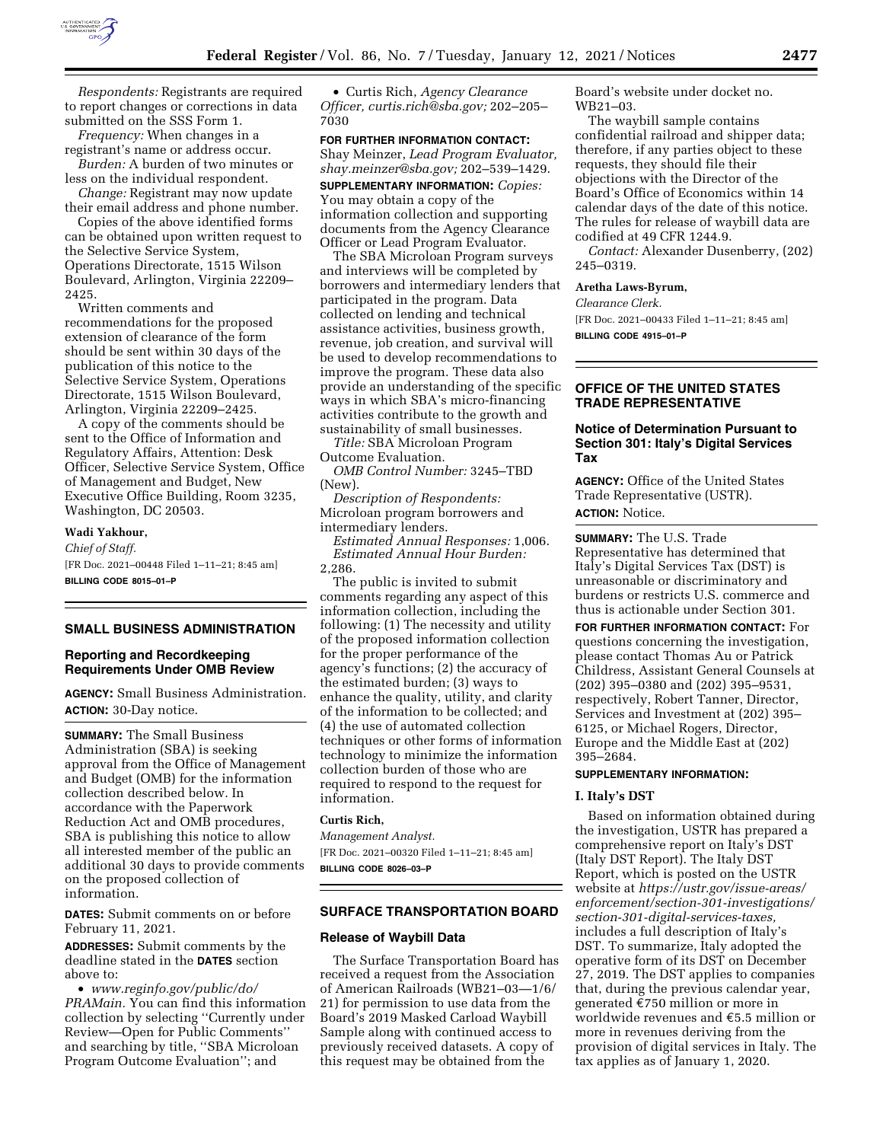

*Respondents:* Registrants are required to report changes or corrections in data submitted on the SSS Form 1.

*Frequency:* When changes in a registrant's name or address occur.

*Burden:* A burden of two minutes or less on the individual respondent.

*Change:* Registrant may now update their email address and phone number.

Copies of the above identified forms can be obtained upon written request to the Selective Service System, Operations Directorate, 1515 Wilson Boulevard, Arlington, Virginia 22209– 2425.

Written comments and recommendations for the proposed extension of clearance of the form should be sent within 30 days of the publication of this notice to the Selective Service System, Operations Directorate, 1515 Wilson Boulevard, Arlington, Virginia 22209–2425.

A copy of the comments should be sent to the Office of Information and Regulatory Affairs, Attention: Desk Officer, Selective Service System, Office of Management and Budget, New Executive Office Building, Room 3235, Washington, DC 20503.

## **Wadi Yakhour,**

*Chief of Staff.*  [FR Doc. 2021–00448 Filed 1–11–21; 8:45 am] **BILLING CODE 8015–01–P** 

## **SMALL BUSINESS ADMINISTRATION**

# **Reporting and Recordkeeping Requirements Under OMB Review**

**AGENCY:** Small Business Administration. **ACTION:** 30-Day notice.

**SUMMARY:** The Small Business Administration (SBA) is seeking approval from the Office of Management and Budget (OMB) for the information collection described below. In accordance with the Paperwork Reduction Act and OMB procedures, SBA is publishing this notice to allow all interested member of the public an additional 30 days to provide comments on the proposed collection of information.

**DATES:** Submit comments on or before February 11, 2021.

**ADDRESSES:** Submit comments by the deadline stated in the **DATES** section above to:

• *[www.reginfo.gov/public/do/](http://www.reginfo.gov/public/do/PRAMain)  [PRAMain.](http://www.reginfo.gov/public/do/PRAMain)* You can find this information collection by selecting ''Currently under Review—Open for Public Comments'' and searching by title, ''SBA Microloan Program Outcome Evaluation''; and

• Curtis Rich, *Agency Clearance Officer, [curtis.rich@sba.gov;](mailto:curtis.rich@sba.gov)* 202–205– 7030

**FOR FURTHER INFORMATION CONTACT:**  Shay Meinzer, *Lead Program Evaluator, [shay.meinzer@sba.gov;](mailto:shay.meinzer@sba.gov)* 202–539–1429.

**SUPPLEMENTARY INFORMATION:** *Copies:*  You may obtain a copy of the information collection and supporting documents from the Agency Clearance Officer or Lead Program Evaluator.

The SBA Microloan Program surveys and interviews will be completed by borrowers and intermediary lenders that participated in the program. Data collected on lending and technical assistance activities, business growth, revenue, job creation, and survival will be used to develop recommendations to improve the program. These data also provide an understanding of the specific ways in which SBA's micro-financing activities contribute to the growth and sustainability of small businesses.

*Title:* SBA Microloan Program Outcome Evaluation.

*OMB Control Number:* 3245–TBD (New).

*Description of Respondents:*  Microloan program borrowers and intermediary lenders.

*Estimated Annual Responses:* 1,006. *Estimated Annual Hour Burden:*  2,286.

The public is invited to submit comments regarding any aspect of this information collection, including the following: (1) The necessity and utility of the proposed information collection for the proper performance of the agency's functions; (2) the accuracy of the estimated burden; (3) ways to enhance the quality, utility, and clarity of the information to be collected; and (4) the use of automated collection techniques or other forms of information technology to minimize the information collection burden of those who are required to respond to the request for information.

### **Curtis Rich,**

*Management Analyst.*  [FR Doc. 2021–00320 Filed 1–11–21; 8:45 am] **BILLING CODE 8026–03–P** 

## **SURFACE TRANSPORTATION BOARD**

## **Release of Waybill Data**

The Surface Transportation Board has received a request from the Association of American Railroads (WB21–03—1/6/ 21) for permission to use data from the Board's 2019 Masked Carload Waybill Sample along with continued access to previously received datasets. A copy of this request may be obtained from the

Board's website under docket no. WB21–03.

The waybill sample contains confidential railroad and shipper data; therefore, if any parties object to these requests, they should file their objections with the Director of the Board's Office of Economics within 14 calendar days of the date of this notice. The rules for release of waybill data are codified at 49 CFR 1244.9.

*Contact:* Alexander Dusenberry, (202) 245–0319.

**Aretha Laws-Byrum,** 

*Clearance Clerk.* 

[FR Doc. 2021–00433 Filed 1–11–21; 8:45 am] **BILLING CODE 4915–01–P** 

# **OFFICE OF THE UNITED STATES TRADE REPRESENTATIVE**

# **Notice of Determination Pursuant to Section 301: Italy's Digital Services Tax**

**AGENCY:** Office of the United States Trade Representative (USTR). **ACTION:** Notice.

**SUMMARY:** The U.S. Trade Representative has determined that Italy's Digital Services Tax (DST) is unreasonable or discriminatory and burdens or restricts U.S. commerce and thus is actionable under Section 301.

**FOR FURTHER INFORMATION CONTACT:** For questions concerning the investigation, please contact Thomas Au or Patrick Childress, Assistant General Counsels at (202) 395–0380 and (202) 395–9531, respectively, Robert Tanner, Director, Services and Investment at (202) 395– 6125, or Michael Rogers, Director, Europe and the Middle East at (202) 395–2684.

## **SUPPLEMENTARY INFORMATION:**

### **I. Italy's DST**

Based on information obtained during the investigation, USTR has prepared a comprehensive report on Italy's DST (Italy DST Report). The Italy DST Report, which is posted on the USTR website at *[https://ustr.gov/issue-areas/](https://ustr.gov/issue-areas/enforcement/section-301-investigations/section-301-digital-services-taxes)  [enforcement/section-301-investigations/](https://ustr.gov/issue-areas/enforcement/section-301-investigations/section-301-digital-services-taxes) [section-301-digital-services-taxes,](https://ustr.gov/issue-areas/enforcement/section-301-investigations/section-301-digital-services-taxes)*  includes a full description of Italy's DST. To summarize, Italy adopted the operative form of its DST on December 27, 2019. The DST applies to companies that, during the previous calendar year, generated  $\epsilon$ 750 million or more in worldwide revenues and  $E$ 5.5 million or more in revenues deriving from the provision of digital services in Italy. The tax applies as of January 1, 2020.